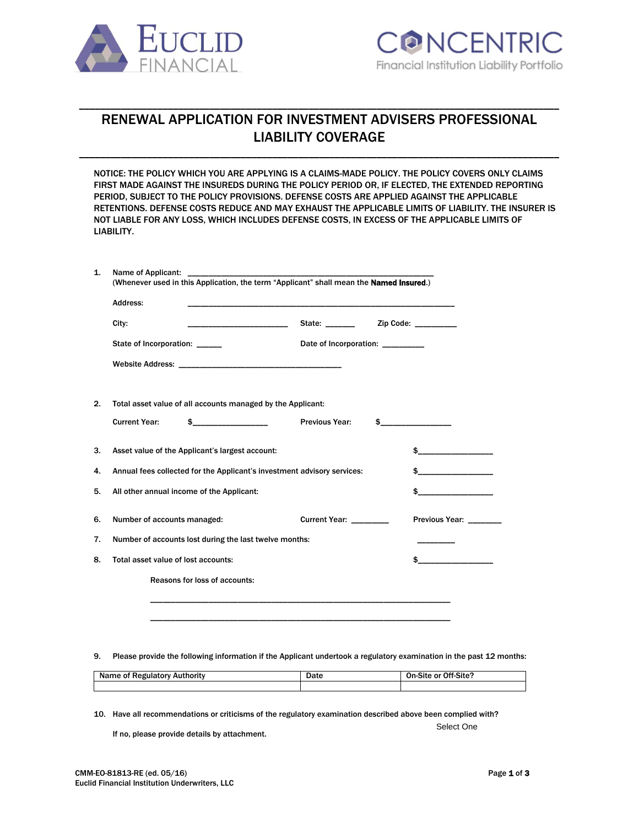



# RENEWAL APPLICATION FOR INVESTMENT ADVISERS PROFESSIONAL LIABILITY COVERAGE

\_\_\_\_\_\_\_\_\_\_\_\_\_\_\_\_\_\_\_\_\_\_\_\_\_\_\_\_\_\_\_\_\_\_\_\_\_\_\_\_\_\_\_\_\_\_\_\_\_\_\_\_\_\_\_\_\_\_\_\_\_\_\_\_\_\_\_\_\_\_\_\_\_\_\_\_\_\_\_\_\_\_\_\_\_\_\_\_\_\_\_\_

\_\_\_\_\_\_\_\_\_\_\_\_\_\_\_\_\_\_\_\_\_\_\_\_\_\_\_\_\_\_\_\_\_\_\_\_\_\_\_\_\_\_\_\_\_\_\_\_\_\_\_\_\_\_\_\_\_\_\_\_\_\_\_\_\_\_\_\_\_\_\_\_\_\_\_\_\_\_\_\_\_\_\_\_\_\_\_\_\_\_\_\_

NOTICE: THE POLICY WHICH YOU ARE APPLYING IS A CLAIMS-MADE POLICY. THE POLICY COVERS ONLY CLAIMS FIRST MADE AGAINST THE INSUREDS DURING THE POLICY PERIOD OR, IF ELECTED, THE EXTENDED REPORTING PERIOD, SUBJECT TO THE POLICY PROVISIONS. DEFENSE COSTS ARE APPLIED AGAINST THE APPLICABLE RETENTIONS. DEFENSE COSTS REDUCE AND MAY EXHAUST THE APPLICABLE LIMITS OF LIABILITY. THE INSURER IS NOT LIABLE FOR ANY LOSS, WHICH INCLUDES DEFENSE COSTS, IN EXCESS OF THE APPLICABLE LIMITS OF LIABILITY.

| Address:                                                                |                       |                                       |                       |
|-------------------------------------------------------------------------|-----------------------|---------------------------------------|-----------------------|
| City:                                                                   |                       | State: __________ Zip Code: _________ |                       |
| State of Incorporation: ______                                          |                       | Date of Incorporation: _________      |                       |
|                                                                         |                       |                                       |                       |
|                                                                         |                       |                                       |                       |
| Total asset value of all accounts managed by the Applicant:             |                       |                                       |                       |
| <b>Current Year:</b>                                                    | <b>Previous Year:</b> |                                       | $\sim$                |
| Asset value of the Applicant's largest account:                         |                       |                                       |                       |
| Annual fees collected for the Applicant's investment advisory services: |                       |                                       | \$                    |
| All other annual income of the Applicant:                               |                       |                                       |                       |
| Number of accounts managed:                                             |                       | <b>Current Year:</b>                  | <b>Previous Year:</b> |
| Number of accounts lost during the last twelve months:                  |                       |                                       |                       |
| Total asset value of lost accounts:                                     |                       |                                       |                       |
| Reasons for loss of accounts:                                           |                       |                                       |                       |

9. Please provide the following information if the Applicant undertook a regulatory examination in the past 12 months:

| `Authority<br>Regulatory<br>01<br>ne | Date | Off-Site?<br>On-S<br>∴or<br>-Site |
|--------------------------------------|------|-----------------------------------|
|                                      |      |                                   |

10. Have all recommendations or criticisms of the regulatory examination described above been complied with?

If no, please provide details by attachment.

Select One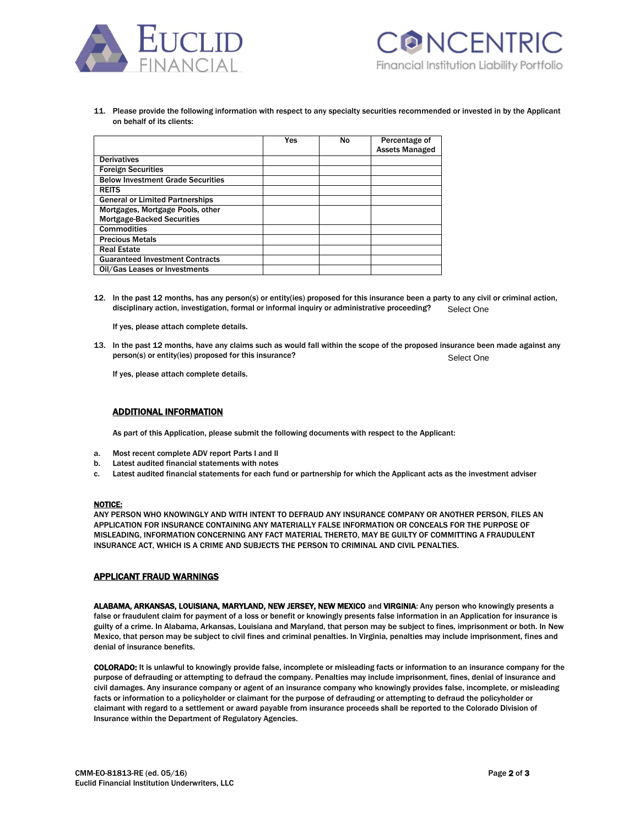



11. Please provide the following information with respect to any specialty securities recommended or invested in by the Applicant on behalf of its clients:

|                                          | Yes | No | Percentage of         |
|------------------------------------------|-----|----|-----------------------|
|                                          |     |    |                       |
|                                          |     |    | <b>Assets Managed</b> |
| <b>Derivatives</b>                       |     |    |                       |
| <b>Foreign Securities</b>                |     |    |                       |
| <b>Below Investment Grade Securities</b> |     |    |                       |
| <b>REITS</b>                             |     |    |                       |
| <b>General or Limited Partnerships</b>   |     |    |                       |
| Mortgages, Mortgage Pools, other         |     |    |                       |
| <b>Mortgage-Backed Securities</b>        |     |    |                       |
| <b>Commodities</b>                       |     |    |                       |
| <b>Precious Metals</b>                   |     |    |                       |
| <b>Real Estate</b>                       |     |    |                       |
| <b>Guaranteed Investment Contracts</b>   |     |    |                       |
| Oil/Gas Leases or Investments            |     |    |                       |

12. In the past 12 months, has any person(s) or entity(ies) proposed for this insurance been a party to any civil or criminal action, disciplinary action, investigation, formal or informal inquiry or administrative proceeding? Select One

If yes, please attach complete details.

13. In the past 12 months, have any claims such as would fall within the scope of the proposed insurance been made against any person(s) or entity(ies) proposed for this insurance? Select One

If yes, please attach complete details.

### ADDITIONAL INFORMATION

As part of this Application, please submit the following documents with respect to the Applicant:

- a. Most recent complete ADV report Parts I and II
- b. Latest audited financial statements with notes
- c. Latest audited financial statements for each fund or partnership for which the Applicant acts as the investment adviser

#### NOTICE:

ANY PERSON WHO KNOWINGLY AND WITH INTENT TO DEFRAUD ANY INSURANCE COMPANY OR ANOTHER PERSON, FILES AN APPLICATION FOR INSURANCE CONTAINING ANY MATERIALLY FALSE INFORMATION OR CONCEALS FOR THE PURPOSE OF MISLEADING, INFORMATION CONCERNING ANY FACT MATERIAL THERETO, MAY BE GUILTY OF COMMITTING A FRAUDULENT INSURANCE ACT, WHICH IS A CRIME AND SUBJECTS THE PERSON TO CRIMINAL AND CIVIL PENALTIES.

## APPLICANT FRAUD WARNINGS

ALABAMA, ARKANSAS, LOUISIANA, MARYLAND, NEW JERSEY, NEW MEXICO and VIRGINIA: Any person who knowingly presents a false or fraudulent claim for payment of a loss or benefit or knowingly presents false information in an Application for insurance is guilty of a crime. In Alabama, Arkansas, Louisiana and Maryland, that person may be subject to fines, imprisonment or both. In New Mexico, that person may be subject to civil fines and criminal penalties. In Virginia, penalties may include imprisonment, fines and denial of insurance benefits.

COLORADO: It is unlawful to knowingly provide false, incomplete or misleading facts or information to an insurance company for the purpose of defrauding or attempting to defraud the company. Penalties may include imprisonment, fines, denial of insurance and civil damages. Any insurance company or agent of an insurance company who knowingly provides false, incomplete, or misleading facts or information to a policyholder or claimant for the purpose of defrauding or attempting to defraud the policyholder or claimant with regard to a settlement or award payable from insurance proceeds shall be reported to the Colorado Division of Insurance within the Department of Regulatory Agencies.